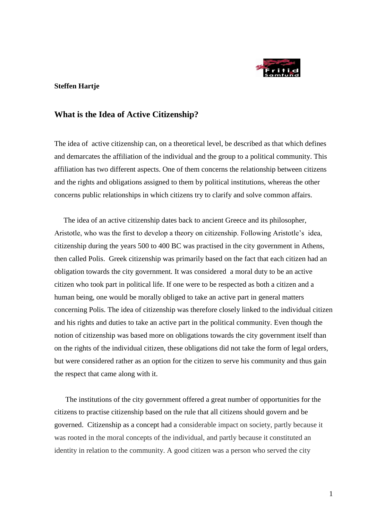

### **Steffen Hartje**

## **What is the Idea of Active Citizenship?**

The idea of active citizenship can, on a theoretical level, be described as that which defines and demarcates the affiliation of the individual and the group to a political community. This affiliation has two different aspects. One of them concerns the relationship between citizens and the rights and obligations assigned to them by political institutions, whereas the other concerns public relationships in which citizens try to clarify and solve common affairs.

 The idea of an active citizenship dates back to ancient Greece and its philosopher, Aristotle, who was the first to develop a theory on citizenship. Following Aristotle's idea, citizenship during the years 500 to 400 BC was practised in the city government in Athens, then called Polis. Greek citizenship was primarily based on the fact that each citizen had an obligation towards the city government. It was considered a moral duty to be an active citizen who took part in political life. If one were to be respected as both a citizen and a human being, one would be morally obliged to take an active part in general matters concerning Polis. The idea of citizenship was therefore closely linked to the individual citizen and his rights and duties to take an active part in the political community. Even though the notion of citizenship was based more on obligations towards the city government itself than on the rights of the individual citizen, these obligations did not take the form of legal orders, but were considered rather as an option for the citizen to serve his community and thus gain the respect that came along with it.

 The institutions of the city government offered a great number of opportunities for the citizens to practise citizenship based on the rule that all citizens should govern and be governed. Citizenship as a concept had a considerable impact on society, partly because it was rooted in the moral concepts of the individual, and partly because it constituted an identity in relation to the community. A good citizen was a person who served the city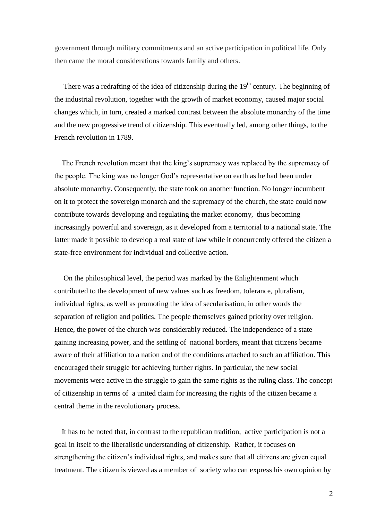government through military commitments and an active participation in political life. Only then came the moral considerations towards family and others.

There was a redrafting of the idea of citizenship during the  $19<sup>th</sup>$  century. The beginning of the industrial revolution, together with the growth of market economy, caused major social changes which, in turn, created a marked contrast between the absolute monarchy of the time and the new progressive trend of citizenship. This eventually led, among other things, to the French revolution in 1789.

 The French revolution meant that the king's supremacy was replaced by the supremacy of the people. The king was no longer God's representative on earth as he had been under absolute monarchy. Consequently, the state took on another function. No longer incumbent on it to protect the sovereign monarch and the supremacy of the church, the state could now contribute towards developing and regulating the market economy, thus becoming increasingly powerful and sovereign, as it developed from a territorial to a national state. The latter made it possible to develop a real state of law while it concurrently offered the citizen a state-free environment for individual and collective action.

 On the philosophical level, the period was marked by the Enlightenment which contributed to the development of new values such as freedom, tolerance, pluralism, individual rights, as well as promoting the idea of secularisation, in other words the separation of religion and politics. The people themselves gained priority over religion. Hence, the power of the church was considerably reduced. The independence of a state gaining increasing power, and the settling of national borders, meant that citizens became aware of their affiliation to a nation and of the conditions attached to such an affiliation. This encouraged their struggle for achieving further rights. In particular, the new social movements were active in the struggle to gain the same rights as the ruling class. The concept of citizenship in terms of a united claim for increasing the rights of the citizen became a central theme in the revolutionary process.

 It has to be noted that, in contrast to the republican tradition, active participation is not a goal in itself to the liberalistic understanding of citizenship. Rather, it focuses on strengthening the citizen's individual rights, and makes sure that all citizens are given equal treatment. The citizen is viewed as a member of society who can express his own opinion by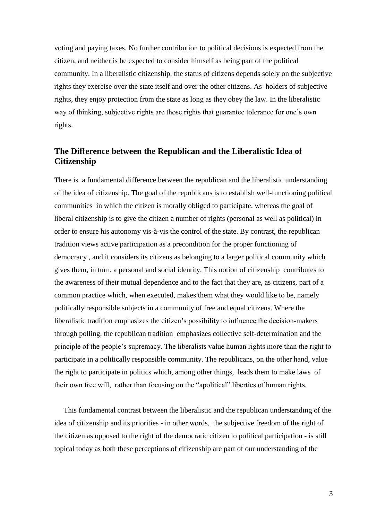voting and paying taxes. No further contribution to political decisions is expected from the citizen, and neither is he expected to consider himself as being part of the political community. In a liberalistic citizenship, the status of citizens depends solely on the subjective rights they exercise over the state itself and over the other citizens. As holders of subjective rights, they enjoy protection from the state as long as they obey the law. In the liberalistic way of thinking, subjective rights are those rights that guarantee tolerance for one's own rights.

# **The Difference between the Republican and the Liberalistic Idea of Citizenship**

There is a fundamental difference between the republican and the liberalistic understanding of the idea of citizenship. The goal of the republicans is to establish well-functioning political communities in which the citizen is morally obliged to participate, whereas the goal of liberal citizenship is to give the citizen a number of rights (personal as well as political) in order to ensure his autonomy vis-à-vis the control of the state. By contrast, the republican tradition views active participation as a precondition for the proper functioning of democracy , and it considers its citizens as belonging to a larger political community which gives them, in turn, a personal and social identity. This notion of citizenship contributes to the awareness of their mutual dependence and to the fact that they are, as citizens, part of a common practice which, when executed, makes them what they would like to be, namely politically responsible subjects in a community of free and equal citizens. Where the liberalistic tradition emphasizes the citizen's possibility to influence the decision-makers through polling, the republican tradition emphasizes collective self-determination and the principle of the people's supremacy. The liberalists value human rights more than the right to participate in a politically responsible community. The republicans, on the other hand, value the right to participate in politics which, among other things, leads them to make laws of their own free will, rather than focusing on the "apolitical" liberties of human rights.

 This fundamental contrast between the liberalistic and the republican understanding of the idea of citizenship and its priorities - in other words, the subjective freedom of the right of the citizen as opposed to the right of the democratic citizen to political participation - is still topical today as both these perceptions of citizenship are part of our understanding of the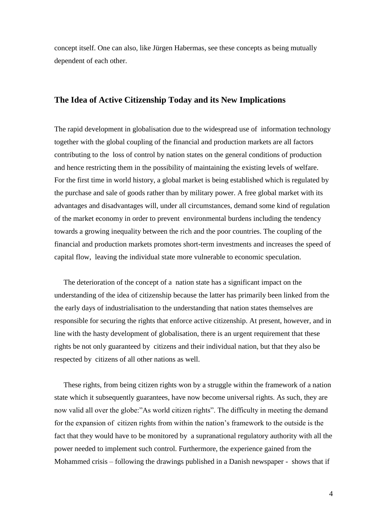concept itself. One can also, like Jürgen Habermas, see these concepts as being mutually dependent of each other.

## **The Idea of Active Citizenship Today and its New Implications**

The rapid development in globalisation due to the widespread use of information technology together with the global coupling of the financial and production markets are all factors contributing to the loss of control by nation states on the general conditions of production and hence restricting them in the possibility of maintaining the existing levels of welfare. For the first time in world history, a global market is being established which is regulated by the purchase and sale of goods rather than by military power. A free global market with its advantages and disadvantages will, under all circumstances, demand some kind of regulation of the market economy in order to prevent environmental burdens including the tendency towards a growing inequality between the rich and the poor countries. The coupling of the financial and production markets promotes short-term investments and increases the speed of capital flow, leaving the individual state more vulnerable to economic speculation.

 The deterioration of the concept of a nation state has a significant impact on the understanding of the idea of citizenship because the latter has primarily been linked from the the early days of industrialisation to the understanding that nation states themselves are responsible for securing the rights that enforce active citizenship. At present, however, and in line with the hasty development of globalisation, there is an urgent requirement that these rights be not only guaranteed by citizens and their individual nation, but that they also be respected by citizens of all other nations as well.

 These rights, from being citizen rights won by a struggle within the framework of a nation state which it subsequently guarantees, have now become universal rights. As such, they are now valid all over the globe:"As world citizen rights". The difficulty in meeting the demand for the expansion of citizen rights from within the nation's framework to the outside is the fact that they would have to be monitored by a supranational regulatory authority with all the power needed to implement such control. Furthermore, the experience gained from the Mohammed crisis – following the drawings published in a Danish newspaper - shows that if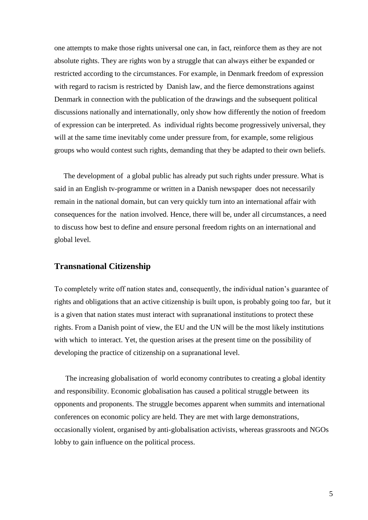one attempts to make those rights universal one can, in fact, reinforce them as they are not absolute rights. They are rights won by a struggle that can always either be expanded or restricted according to the circumstances. For example, in Denmark freedom of expression with regard to racism is restricted by Danish law, and the fierce demonstrations against Denmark in connection with the publication of the drawings and the subsequent political discussions nationally and internationally, only show how differently the notion of freedom of expression can be interpreted. As individual rights become progressively universal, they will at the same time inevitably come under pressure from, for example, some religious groups who would contest such rights, demanding that they be adapted to their own beliefs.

 The development of a global public has already put such rights under pressure. What is said in an English tv-programme or written in a Danish newspaper does not necessarily remain in the national domain, but can very quickly turn into an international affair with consequences for the nation involved. Hence, there will be, under all circumstances, a need to discuss how best to define and ensure personal freedom rights on an international and global level.

## **Transnational Citizenship**

To completely write off nation states and, consequently, the individual nation's guarantee of rights and obligations that an active citizenship is built upon, is probably going too far, but it is a given that nation states must interact with supranational institutions to protect these rights. From a Danish point of view, the EU and the UN will be the most likely institutions with which to interact. Yet, the question arises at the present time on the possibility of developing the practice of citizenship on a supranational level.

 The increasing globalisation of world economy contributes to creating a global identity and responsibility. Economic globalisation has caused a political struggle between its opponents and proponents. The struggle becomes apparent when summits and international conferences on economic policy are held. They are met with large demonstrations, occasionally violent, organised by anti-globalisation activists, whereas grassroots and NGOs lobby to gain influence on the political process.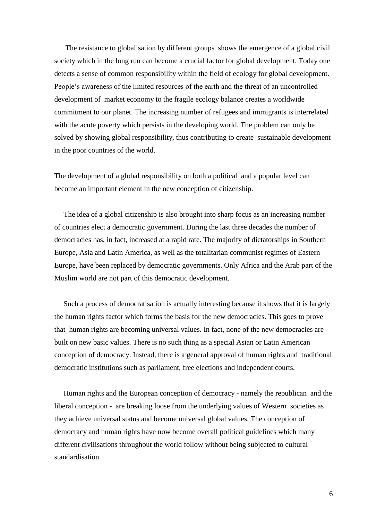The resistance to globalisation by different groups shows the emergence of a global civil society which in the long run can become a crucial factor for global development. Today one detects a sense of common responsibility within the field of ecology for global development. People's awareness of the limited resources of the earth and the threat of an uncontrolled development of market economy to the fragile ecology balance creates a worldwide commitment to our planet. The increasing number of refugees and immigrants is interrelated with the acute poverty which persists in the developing world. The problem can only be solved by showing global responsibility, thus contributing to create sustainable development in the poor countries of the world.

The development of a global responsibility on both a political and a popular level can become an important element in the new conception of citizenship.

 The idea of a global citizenship is also brought into sharp focus as an increasing number of countries elect a democratic government. During the last three decades the number of democracies has, in fact, increased at a rapid rate. The majority of dictatorships in Southern Europe, Asia and Latin America, as well as the totalitarian communist regimes of Eastern Europe, have been replaced by democratic governments. Only Africa and the Arab part of the Muslim world are not part of this democratic development.

 Such a process of democratisation is actually interesting because it shows that it is largely the human rights factor which forms the basis for the new democracies. This goes to prove that human rights are becoming universal values. In fact, none of the new democracies are built on new basic values. There is no such thing as a special Asian or Latin American conception of democracy. Instead, there is a general approval of human rights and traditional democratic institutions such as parliament, free elections and independent courts.

 Human rights and the European conception of democracy - namely the republican and the liberal conception - are breaking loose from the underlying values of Western societies as they achieve universal status and become universal global values. The conception of democracy and human rights have now become overall political guidelines which many different civilisations throughout the world follow without being subjected to cultural standardisation.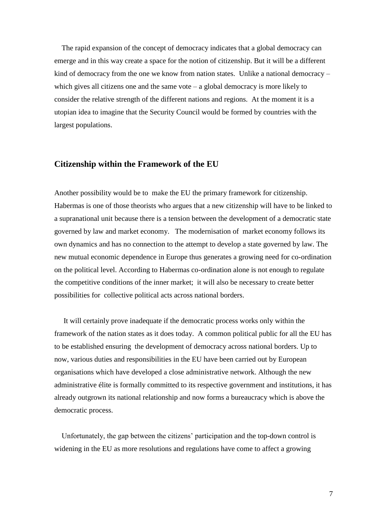The rapid expansion of the concept of democracy indicates that a global democracy can emerge and in this way create a space for the notion of citizenship. But it will be a different kind of democracy from the one we know from nation states. Unlike a national democracy – which gives all citizens one and the same vote  $-$  a global democracy is more likely to consider the relative strength of the different nations and regions. At the moment it is a utopian idea to imagine that the Security Council would be formed by countries with the largest populations.

## **Citizenship within the Framework of the EU**

Another possibility would be to make the EU the primary framework for citizenship. Habermas is one of those theorists who argues that a new citizenship will have to be linked to a supranational unit because there is a tension between the development of a democratic state governed by law and market economy. The modernisation of market economy follows its own dynamics and has no connection to the attempt to develop a state governed by law. The new mutual economic dependence in Europe thus generates a growing need for co-ordination on the political level. According to Habermas co-ordination alone is not enough to regulate the competitive conditions of the inner market; it will also be necessary to create better possibilities for collective political acts across national borders.

 It will certainly prove inadequate if the democratic process works only within the framework of the nation states as it does today. A common political public for all the EU has to be established ensuring the development of democracy across national borders. Up to now, various duties and responsibilities in the EU have been carried out by European organisations which have developed a close administrative network. Although the new administrative élite is formally committed to its respective government and institutions, it has already outgrown its national relationship and now forms a bureaucracy which is above the democratic process.

 Unfortunately, the gap between the citizens' participation and the top-down control is widening in the EU as more resolutions and regulations have come to affect a growing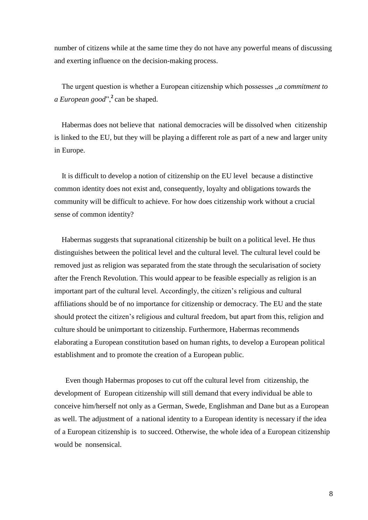number of citizens while at the same time they do not have any powerful means of discussing and exerting influence on the decision-making process.

The urgent question is whether a European citizenship which possesses *"a commitment to a European good*",**<sup>2</sup>** can be shaped.

 Habermas does not believe that national democracies will be dissolved when citizenship is linked to the EU, but they will be playing a different role as part of a new and larger unity in Europe.

 It is difficult to develop a notion of citizenship on the EU level because a distinctive common identity does not exist and, consequently, loyalty and obligations towards the community will be difficult to achieve. For how does citizenship work without a crucial sense of common identity?

 Habermas suggests that supranational citizenship be built on a political level. He thus distinguishes between the political level and the cultural level. The cultural level could be removed just as religion was separated from the state through the secularisation of society after the French Revolution. This would appear to be feasible especially as religion is an important part of the cultural level. Accordingly, the citizen's religious and cultural affiliations should be of no importance for citizenship or democracy. The EU and the state should protect the citizen's religious and cultural freedom, but apart from this, religion and culture should be unimportant to citizenship. Furthermore, Habermas recommends elaborating a European constitution based on human rights, to develop a European political establishment and to promote the creation of a European public.

 Even though Habermas proposes to cut off the cultural level from citizenship, the development of European citizenship will still demand that every individual be able to conceive him/herself not only as a German, Swede, Englishman and Dane but as a European as well. The adjustment of a national identity to a European identity is necessary if the idea of a European citizenship is to succeed. Otherwise, the whole idea of a European citizenship would be nonsensical.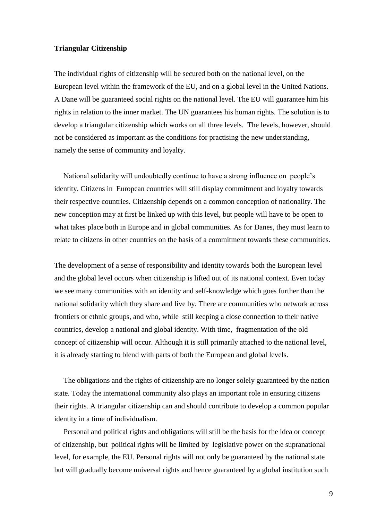#### **Triangular Citizenship**

The individual rights of citizenship will be secured both on the national level, on the European level within the framework of the EU, and on a global level in the United Nations. A Dane will be guaranteed social rights on the national level. The EU will guarantee him his rights in relation to the inner market. The UN guarantees his human rights. The solution is to develop a triangular citizenship which works on all three levels. The levels, however, should not be considered as important as the conditions for practising the new understanding, namely the sense of community and loyalty.

 National solidarity will undoubtedly continue to have a strong influence on people's identity. Citizens in European countries will still display commitment and loyalty towards their respective countries. Citizenship depends on a common conception of nationality. The new conception may at first be linked up with this level, but people will have to be open to what takes place both in Europe and in global communities. As for Danes, they must learn to relate to citizens in other countries on the basis of a commitment towards these communities.

The development of a sense of responsibility and identity towards both the European level and the global level occurs when citizenship is lifted out of its national context. Even today we see many communities with an identity and self-knowledge which goes further than the national solidarity which they share and live by. There are communities who network across frontiers or ethnic groups, and who, while still keeping a close connection to their native countries, develop a national and global identity. With time, fragmentation of the old concept of citizenship will occur. Although it is still primarily attached to the national level, it is already starting to blend with parts of both the European and global levels.

 The obligations and the rights of citizenship are no longer solely guaranteed by the nation state. Today the international community also plays an important role in ensuring citizens their rights. A triangular citizenship can and should contribute to develop a common popular identity in a time of individualism.

 Personal and political rights and obligations will still be the basis for the idea or concept of citizenship, but political rights will be limited by legislative power on the supranational level, for example, the EU. Personal rights will not only be guaranteed by the national state but will gradually become universal rights and hence guaranteed by a global institution such